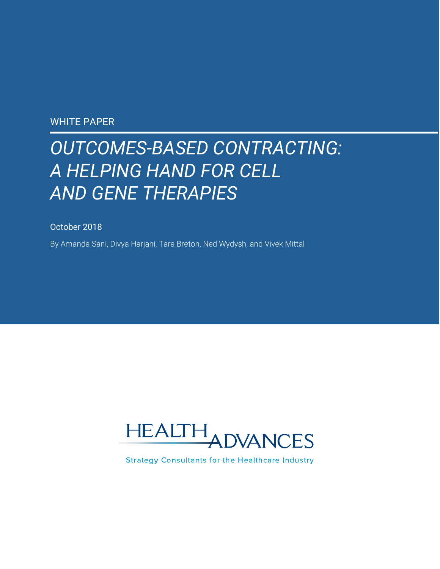### WHITE PAPER

# *OUTCOMES-BASED CONTRACTING: A HELPING HAND FOR CELL AND GENE THERAPIES*

October 2018

By Amanda Sani, Divya Harjani, Tara Breton, Ned Wydysh, and Vivek Mittal



**Strategy Consultants for the Healthcare Industry**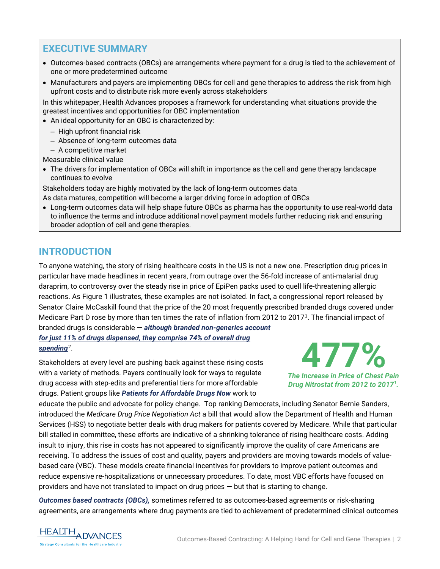# **EXECUTIVE SUMMARY**

- Outcomes-based contracts (OBCs) are arrangements where payment for a drug is tied to the achievement of one or more predetermined outcome
- Manufacturers and payers are implementing OBCs for cell and gene therapies to address the risk from high upfront costs and to distribute risk more evenly across stakeholders

In this whitepaper, Health Advances proposes a framework for understanding what situations provide the greatest incentives and opportunities for OBC implementation

- An ideal opportunity for an OBC is characterized by:
	- High upfront financial risk
	- Absence of long-term outcomes data
	- A competitive market

Measurable clinical value

• The drivers for implementation of OBCs will shift in importance as the cell and gene therapy landscape continues to evolve

Stakeholders today are highly motivated by the lack of long-term outcomes data As data matures, competition will become a larger driving force in adoption of OBCs

• Long-term outcomes data will help shape future OBCs as pharma has the opportunity to use real-world data to influence the terms and introduce additional novel payment models further reducing risk and ensuring broader adoption of cell and gene therapies.

# **INTRODUCTION**

To anyone watching, the story of rising healthcare costs in the US is not a new one. Prescription drug prices in particular have made headlines in recent years, from outrage over the 56-fold increase of anti-malarial drug daraprim, to controversy over the steady rise in price of EpiPen packs used to quell life-threatening allergic reactions. As Figure 1 illustrates, these examples are not isolated. In fact, a congressional report released by Senator Claire McCaskill found that the price of the 20 most frequently prescribed branded drugs covered under Medicare Part D rose by more than ten times the rate of inflation from 2012 to 2017[1](#page-13-0). The financial impact of branded drugs is considerable — *although branded non-generics account for just 11% of drugs dispensed, they comprise 74% of overall drug* 

*spending*[2.](#page-13-1)

Stakeholders at every level are pushing back against these rising costs with a variety of methods. Payers continually look for ways to regulate drug access with step-edits and preferential tiers for more affordable drugs. Patient groups like *[Patients for Affordable Drugs Now](https://www.patientsforaffordabledrugsnow.org/)* work to



*The Increase in Price of Chest Pain Drug Nitrostat from 2012 to 20171.*

educate the public and advocate for policy change. Top ranking Democrats, including Senator Bernie Sanders, introduced the *Medicare Drug Price Negotiation Act* a bill that would allow the Department of Health and Human Services (HSS) to negotiate better deals with drug makers for patients covered by Medicare. While that particular bill stalled in committee, these efforts are indicative of a shrinking tolerance of rising healthcare costs. Adding insult to injury, this rise in costs has not appeared to significantly improve the quality of care Americans are receiving. To address the issues of cost and quality, payers and providers are moving towards models of valuebased care (VBC). These models create financial incentives for providers to improve patient outcomes and reduce expensive re-hospitalizations or unnecessary procedures. To date, most VBC efforts have focused on providers and have not translated to impact on drug prices — but that is starting to change.

*Outcomes based contracts (OBCs),* sometimes referred to as outcomes-based agreements or risk-sharing agreements, are arrangements where drug payments are tied to achievement of predetermined clinical outcomes

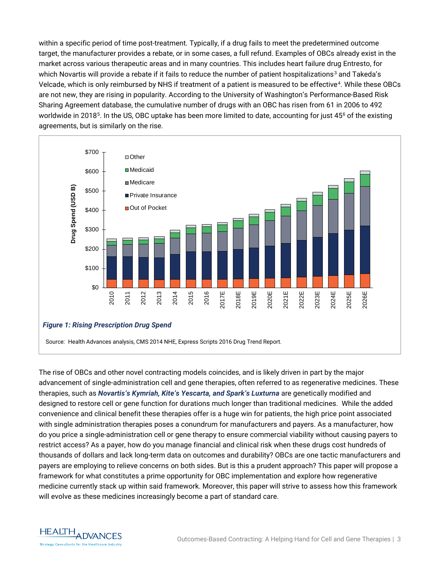within a specific period of time post-treatment. Typically, if a drug fails to meet the predetermined outcome target, the manufacturer provides a rebate, or in some cases, a full refund. Examples of OBCs already exist in the market across various therapeutic areas and in many countries. This includes heart failure drug Entresto, for which Novartis will provide a rebate if it fails to reduce the number of patient hospitalizations<sup>[3](#page-13-2)</sup> and Takeda's Velcade, which is only reimbursed by NHS if treatment of a patient is measured to be effective[4](#page-13-3). While these OBCs are not new, they are rising in popularity. According to the University of Washington's Performance-Based Risk Sharing Agreement database, the cumulative number of drugs with an OBC has risen from 61 in 2006 to 492 worldwide in 2018<sup>[5](#page-13-4)</sup>. In the US, OBC uptake has been more limited to date, accounting for just 45<sup>[6](#page-13-5)</sup> of the existing agreements, but is similarly on the rise.



The rise of OBCs and other novel contracting models coincides, and is likely driven in part by the major advancement of single-administration cell and gene therapies, often referred to as regenerative medicines. These therapies, such as *Novartis's Kymriah, Kite's Yescarta, and Spark's Luxturna* are genetically modified and designed to restore cell or gene function for durations much longer than traditional medicines. While the added convenience and clinical benefit these therapies offer is a huge win for patients, the high price point associated with single administration therapies poses a conundrum for manufacturers and payers. As a manufacturer, how do you price a single-administration cell or gene therapy to ensure commercial viability without causing payers to restrict access? As a payer, how do you manage financial and clinical risk when these drugs cost hundreds of thousands of dollars and lack long-term data on outcomes and durability? OBCs are one tactic manufacturers and payers are employing to relieve concerns on both sides. But is this a prudent approach? This paper will propose a framework for what constitutes a prime opportunity for OBC implementation and explore how regenerative medicine currently stack up within said framework. Moreover, this paper will strive to assess how this framework will evolve as these medicines increasingly become a part of standard care.

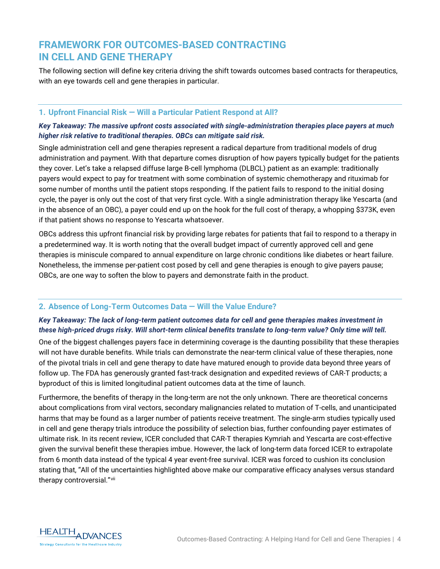# **FRAMEWORK FOR OUTCOMES-BASED CONTRACTING IN CELL AND GENE THERAPY**

The following section will define key criteria driving the shift towards outcomes based contracts for therapeutics, with an eye towards cell and gene therapies in particular.

### **1. Upfront Financial Risk — Will a Particular Patient Respond at All?**

### *Key Takeaway: The massive upfront costs associated with single-administration therapies place payers at much higher risk relative to traditional therapies. OBCs can mitigate said risk.*

Single administration cell and gene therapies represent a radical departure from traditional models of drug administration and payment. With that departure comes disruption of how payers typically budget for the patients they cover. Let's take a relapsed diffuse large B-cell lymphoma (DLBCL) patient as an example: traditionally payers would expect to pay for treatment with some combination of systemic chemotherapy and rituximab for some number of months until the patient stops responding. If the patient fails to respond to the initial dosing cycle, the payer is only out the cost of that very first cycle. With a single administration therapy like Yescarta (and in the absence of an OBC), a payer could end up on the hook for the full cost of therapy, a whopping \$373K, even if that patient shows no response to Yescarta whatsoever.

OBCs address this upfront financial risk by providing large rebates for patients that fail to respond to a therapy in a predetermined way. It is worth noting that the overall budget impact of currently approved cell and gene therapies is miniscule compared to annual expenditure on large chronic conditions like diabetes or heart failure. Nonetheless, the immense per-patient cost posed by cell and gene therapies is enough to give payers pause; OBCs, are one way to soften the blow to payers and demonstrate faith in the product.

### **2. Absence of Long-Term Outcomes Data — Will the Value Endure?**

### *Key Takeaway: The lack of long-term patient outcomes data for cell and gene therapies makes investment in these high-priced drugs risky. Will short-term clinical benefits translate to long-term value? Only time will tell.*

One of the biggest challenges payers face in determining coverage is the daunting possibility that these therapies will not have durable benefits. While trials can demonstrate the near-term clinical value of these therapies, none of the pivotal trials in cell and gene therapy to date have matured enough to provide data beyond three years of follow up. The FDA has generously granted fast-track designation and expedited reviews of CAR-T products; a byproduct of this is limited longitudinal patient outcomes data at the time of launch.

Furthermore, the benefits of therapy in the long-term are not the only unknown. There are theoretical concerns about complications from viral vectors, secondary malignancies related to mutation of T-cells, and unanticipated harms that may be found as a larger number of patients receive treatment. The single-arm studies typically used in cell and gene therapy trials introduce the possibility of selection bias, further confounding payer estimates of ultimate risk. In its recent review, ICER concluded that CAR-T therapies Kymriah and Yescarta are cost-effective given the survival benefit these therapies imbue. However, the lack of long-term data forced ICER to extrapolate from 6 month data instead of the typical 4 year event-free survival. ICER was forced to cushion its conclusion stating that, "All of the uncertainties highlighted above make our comparative efficacy analyses versus standard therapy controversial."[vii](#page-13-6)

<span id="page-3-0"></span>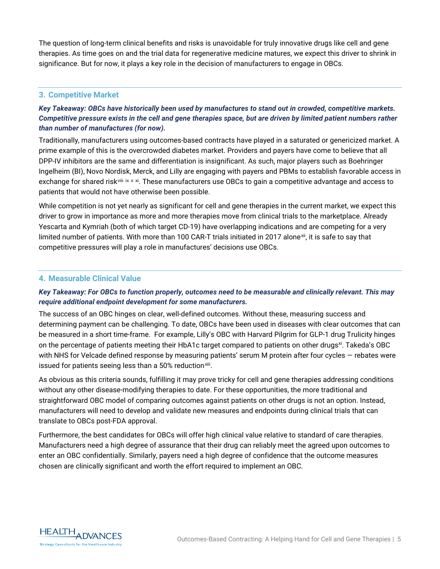The question of long-term clinical benefits and risks is unavoidable for truly innovative drugs like cell and gene therapies. As time goes on and the trial data for regenerative medicine matures, we expect this driver to shrink in significance. But for now, it plays a key role in the decision of manufacturers to engage in OBCs.

### **3. Competitive Market**

### *Key Takeaway: OBCs have historically been used by manufactures to stand out in crowded, competitive markets. Competitive pressure exists in the cell and gene therapies space, but are driven by limited patient numbers rather than number of manufactures (for now).*

Traditionally, manufacturers using outcomes-based contracts have played in a saturated or genericized market. A prime example of this is the overcrowded diabetes market. Providers and payers have come to believe that all DPP-IV inhibitors are the same and differentiation is insignificant. As such, major players such as Boehringer Ingelheim (BI), Novo Nordisk, Merck, and Lilly are engaging with payers and PBMs to establish favorable access in exchange for shared risk<sup>[viii](#page-13-7) [ix](#page-13-8) [x](#page-13-9) [xi](#page-13-10)</sup>. These manufacturers use OBCs to gain a competitive advantage and access to patients that would not have otherwise been possible.

<span id="page-4-0"></span>While competition is not yet nearly as significant for cell and gene therapies in the current market, we expect this driver to grow in importance as more and more therapies move from clinical trials to the marketplace. Already Yescarta and Kymriah (both of which target CD-19) have overlapping indications and are competing for a very limited number of patients. With more than 100 CAR-T trials initiated in 2017 alone[xii](#page-13-11), it is safe to say that competitive pressures will play a role in manufactures' decisions use OBCs.

### **4. Measurable Clinical Value**

### *Key Takeaway: For OBCs to function properly, outcomes need to be measurable and clinically relevant. This may require additional endpoint development for some manufacturers.*

The success of an OBC hinges on clear, well-defined outcomes. Without these, measuring success and determining payment can be challenging. To date, OBCs have been used in diseases with clear outcomes that can be measured in a short time-frame. For example, Lilly's OBC with Harvard Pilgrim for GLP-1 drug Trulicity hinges on the percentage of patients meeting their HbA1c target compared to patients on other drugs<sup>xi</sup>. Takeda's OBC with NHS for Velcade defined response by measuring patients' serum M protein after four cycles — rebates were issued for patients seeing less than a 50% reduction<sup>[xiii](#page-13-12)</sup>.

As obvious as this criteria sounds, fulfilling it may prove tricky for cell and gene therapies addressing conditions without any other disease-modifying therapies to date. For these opportunities, the more traditional and straightforward OBC model of comparing outcomes against patients on other drugs is not an option. Instead, manufacturers will need to develop and validate new measures and endpoints during clinical trials that can translate to OBCs post-FDA approval.

Furthermore, the best candidates for OBCs will offer high clinical value relative to standard of care therapies. Manufacturers need a high degree of assurance that their drug can reliably meet the agreed upon outcomes to enter an OBC confidentially. Similarly, payers need a high degree of confidence that the outcome measures chosen are clinically significant and worth the effort required to implement an OBC.

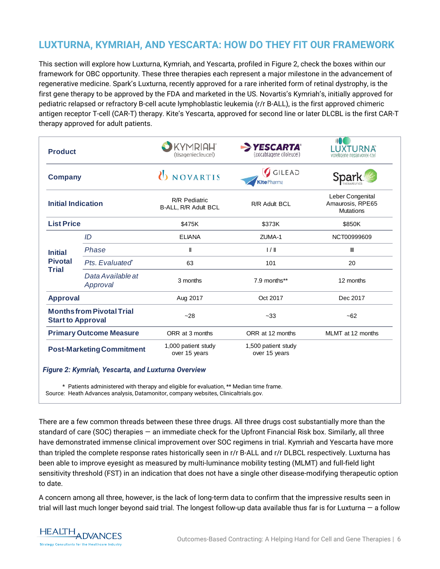# **LUXTURNA, KYMRIAH, AND YESCARTA: HOW DO THEY FIT OUR FRAMEWORK**

This section will explore how Luxturna, Kymriah, and Yescarta, profiled in Figure 2, check the boxes within our framework for OBC opportunity. These three therapies each represent a major milestone in the advancement of regenerative medicine. Spark's Luxturna, recently approved for a rare inherited form of retinal dystrophy, is the first gene therapy to be approved by the FDA and marketed in the US. Novartis's Kymriah's, initially approved for pediatric relapsed or refractory B-cell acute lymphoblastic leukemia (r/r B-ALL), is the first approved chimeric antigen receptor T-cell (CAR-T) therapy. Kite's Yescarta, approved for second line or later DLCBL is the first CAR-T therapy approved for adult patients.

| <b>Product</b><br><b>Company</b><br><b>Initial Indication</b> |                               | <b>KYMRIAH'</b><br>(tisagenlecleucel)        | YESCARTA®<br>(axicabtagene ciloleucel) | LUXTURNA<br>voretigene neparvovec-rzyl                            |
|---------------------------------------------------------------|-------------------------------|----------------------------------------------|----------------------------------------|-------------------------------------------------------------------|
|                                                               |                               | <b>UNOVARTIS</b>                             | GILEAD<br>Kite Pharma                  | Sparl<br>Leber Congenital<br>Amaurosis, RPE65<br><b>Mutations</b> |
|                                                               |                               | <b>R/R Pediatric</b><br>B-ALL, R/R Adult BCL | R/R Adult BCL                          |                                                                   |
| <b>List Price</b>                                             |                               | \$475K                                       | \$373K                                 | \$850K                                                            |
| <b>Initial</b><br><b>Pivotal</b><br><b>Trial</b>              | ID                            | <b>ELIANA</b>                                | ZUMA-1                                 | NCT00999609                                                       |
|                                                               | Phase                         | Ш                                            | 1/1                                    | Ш                                                                 |
|                                                               | Pts. Evaluated®               | 63                                           | 101                                    | 20                                                                |
|                                                               | Data Available at<br>Approval | 3 months                                     | 7.9 months**                           | 12 months                                                         |
| <b>Approval</b>                                               |                               | Aug 2017                                     | Oct 2017                               | Dec 2017                                                          |
| <b>Monthsfrom Pivotal Trial</b><br><b>Start to Approval</b>   |                               | $-28$                                        | $-33$                                  | $-62$                                                             |
| <b>Primary Outcome Measure</b>                                |                               | ORR at 3 months                              | ORR at 12 months                       | MLMT at 12 months                                                 |
| <b>Post-Marketing Commitment</b>                              |                               | 1,000 patient study<br>over 15 years         | 1,500 patient study<br>over 15 years   |                                                                   |

Patients administered with therapy and eligible for evaluation, \*\* Median time frame.

Source: Heath Advances analysis, Datamonitor, company websites, Clinicaltrials.gov.

There are a few common threads between these three drugs. All three drugs cost substantially more than the standard of care (SOC) therapies — an immediate check for the Upfront Financial Risk box. Similarly, all three have demonstrated immense clinical improvement over SOC regimens in trial. Kymriah and Yescarta have more than tripled the complete response rates historically seen in r/r B-ALL and r/r DLBCL respectively. Luxturna has been able to improve eyesight as measured by multi-luminance mobility testing (MLMT) and full-field light sensitivity threshold (FST) in an indication that does not have a single other disease-modifying therapeutic option to date.

A concern among all three, however, is the lack of long-term data to confirm that the impressive results seen in trial will last much longer beyond said trial. The longest follow-up data available thus far is for Luxturna  $-$  a follow

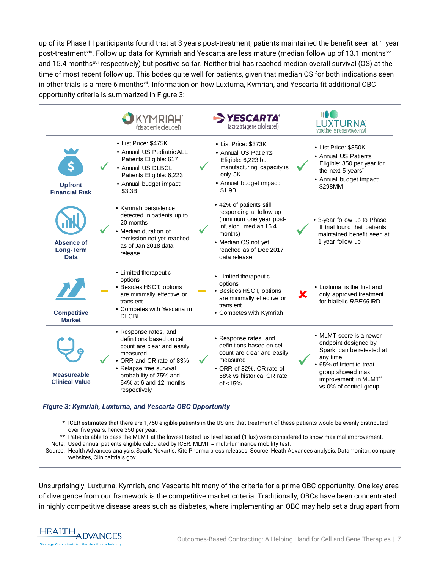up of its Phase III participants found that at 3 years post-treatment, patients maintained the benefit seen at 1 year post-treatment<sup>[xiv](#page-13-13)</sup>. Follow up data for Kymriah and Yescarta are less mature (median follow up of 13.1 months<sup>[xv](#page-13-14)</sup> and 15.4 months<sup>[xvi](#page-13-15)</sup> respectively) but positive so far. Neither trial has reached median overall survival (OS) at the time of most recent follow up. This bodes quite well for patients, given that median OS for both indications seen in other trials is a mere 6 month[svii.](#page-3-0) Information on how Luxturna, Kymriah, and Yescarta fit additional OBC opportunity criteria is summarized in Figure 3:

|                                                                                                                                                                                                 |  | KYMRIAH"<br>(tisagenlecleucel)                                                                                                                                                                                          |  | <b>YESCARTA</b> <sup>®</sup><br>(axicabtagene ciloleucel)                                                                                                                          |   | <b>LUXTURNA</b><br>voretigene neparvovec-rzyl                                                                                                                                               |
|-------------------------------------------------------------------------------------------------------------------------------------------------------------------------------------------------|--|-------------------------------------------------------------------------------------------------------------------------------------------------------------------------------------------------------------------------|--|------------------------------------------------------------------------------------------------------------------------------------------------------------------------------------|---|---------------------------------------------------------------------------------------------------------------------------------------------------------------------------------------------|
| <b>Upfront</b><br><b>Financial Risk</b>                                                                                                                                                         |  | • List Price: \$475K<br>• Annual US Pediatric ALL<br>Patients Eligible: 617<br>• Annual US DLBCL<br>Patients Eligible: 6,223<br>• Annual budget impact:<br>\$3.3B                                                       |  | • List Price: \$373K<br>• Annual US Patients<br>Eligible: 6,223 but<br>manufacturing capacity is<br>only 5K<br>• Annual budget impact:<br>\$1.9B                                   |   | • List Price: \$850K<br>• Annual US Patients<br>Eligible: 350 per year for<br>the next 5 years <sup>*</sup><br>• Annual budget impact:<br>\$298MM                                           |
| Absence of<br>Long-Term<br><b>Data</b>                                                                                                                                                          |  | • Kymriah persistence<br>detected in patients up to<br>20 months<br>• Median duration of<br>remission not yet reached<br>as of Jan 2018 data<br>release                                                                 |  | • 42% of patients still<br>responding at follow up<br>(minimum one year post-<br>infusion, median 15.4<br>months)<br>• Median OS not yet<br>reached as of Dec 2017<br>data release |   | • 3-year follow up to Phase<br>III trial found that patients<br>maintained benefit seen at<br>1-year follow up                                                                              |
| <b>Competitive</b><br><b>Market</b>                                                                                                                                                             |  | • Limited therapeutic<br>options<br>• Besides HSCT, options<br>are minimally effective or<br>transient<br>• Competes with Yescarta in<br><b>DLCBL</b>                                                                   |  | • Limited therapeutic<br>options<br>• Besides HSCT, options<br>are minimally effective or<br>transient<br>• Competes with Kymriah                                                  | X | • Luxturna is the first and<br>only approved treatment<br>for biallelic RPE65IRD                                                                                                            |
| <b>Measureable</b><br><b>Clinical Value</b>                                                                                                                                                     |  | • Response rates, and<br>definitions based on cell<br>count are clear and easily<br>measured<br>• ORR and CR rate of 83%<br>• Relapse free survival<br>probability of 75% and<br>64% at 6 and 12 months<br>respectively |  | • Response rates, and<br>definitions based on cell<br>count are clear and easily<br>measured<br>• ORR of 82%, CR rate of<br>58% vs historical CR rate<br>of $<$ 15%                |   | • MLMT score is a newer<br>endpoint designed by<br>Spark; can be retested at<br>any time<br>• 65% of intent-to-treat<br>group showed max<br>improvement in MLMT**<br>vs 0% of control group |
| Figure 3: Kymriah, Luxturna, and Yescarta OBC Opportunity<br>* ICER estimates that there are 1,750 eligible patients in the US and that treatment of these patients would be evenly distributed |  |                                                                                                                                                                                                                         |  |                                                                                                                                                                                    |   |                                                                                                                                                                                             |

- over five years, hence 350 per year.
- \*\* Patients able to pass the MLMT at the lowest tested lux level tested (1 lux) were considered to show maximal improvement.
- Note: Used annual patients eligible calculated by ICER. MLMT = multi-luminance mobility test.

Source: Health Advances analysis, Spark, Novartis, Kite Pharma press releases. Source: Heath Advances analysis, Datamonitor, company websites, Clinicaltrials.gov.

Unsurprisingly, Luxturna, Kymriah, and Yescarta hit many of the criteria for a prime OBC opportunity. One key area of divergence from our framework is the competitive market criteria. Traditionally, OBCs have been concentrated in highly competitive disease areas such as diabetes, where implementing an OBC may help set a drug apart from

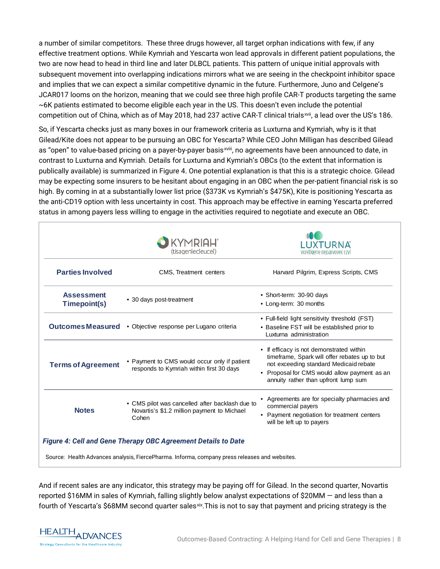a number of similar competitors. These three drugs however, all target orphan indications with few, if any effective treatment options. While Kymriah and Yescarta won lead approvals in different patient populations, the two are now head to head in third line and later DLBCL patients. This pattern of unique initial approvals with subsequent movement into overlapping indications mirrors what we are seeing in the checkpoint inhibitor space and implies that we can expect a similar competitive dynamic in the future. Furthermore, Juno and Celgene's JCAR017 looms on the horizon, meaning that we could see three high profile CAR-T products targeting the same ~6K patients estimated to become eligible each year in the US. This doesn't even include the potential competition out of China, which as of May 2018, had 237 active CAR-T clinical trials[xvii](#page-13-16), a lead over the US's 186.

So, if Yescarta checks just as many boxes in our framework criteria as Luxturna and Kymriah, why is it that Gilead/Kite does not appear to be pursuing an OBC for Yescarta? While CEO John Milligan has described Gilead as "open" to value-based pricing on a payer-by-payer basis<sup>xviii</sup>, no agreements have been announced to date, in contrast to Luxturna and Kymriah. Details for Luxturna and Kymriah's OBCs (to the extent that information is publically available) is summarized in Figure 4. One potential explanation is that this is a strategic choice. Gilead may be expecting some insurers to be hesitant about engaging in an OBC when the per[-p](#page-13-17)atient financial risk is so high. By coming in at a substantially lower list price (\$373K vs Kymriah's \$475K), Kite is positioning Yescarta as the anti-CD19 option with less uncertainty in cost. This approach may be effective in earning Yescarta preferred status in among payers less willing to engage in the activities required to negotiate and execute an OBC.

|                                   | KYMRIAH <sup>®</sup><br>(tisagenlecleucel)                                                              |                                                                                                                                                                                                                             |
|-----------------------------------|---------------------------------------------------------------------------------------------------------|-----------------------------------------------------------------------------------------------------------------------------------------------------------------------------------------------------------------------------|
| <b>Parties Involved</b>           | CMS, Treatment centers                                                                                  | Harvard Pilgrim, Express Scripts, CMS                                                                                                                                                                                       |
| <b>Assessment</b><br>Timepoint(s) | • 30 days post-treatment                                                                                | • Short-term: 30-90 days<br>• Long-term: 30 months                                                                                                                                                                          |
|                                   | Outcomes Measured • Objective response per Lugano criteria                                              | • Full-field light sensitivity threshold (FST)<br>• Baseline FST will be established prior to<br>Luxturna administration                                                                                                    |
| <b>Terms of Agreement</b>         | • Payment to CMS would occur only if patient<br>responds to Kymriah within first 30 days                | • If efficacy is not demonstrated within<br>timeframe, Spark will offer rebates up to but<br>not exceeding standard Medicaid rebate<br>• Proposal for CMS would allow payment as an<br>annuity rather than upfront lump sum |
| <b>Notes</b>                      | • CMS pilot was cancelled after backlash due to<br>Novartis's \$1.2 million payment to Michael<br>Cohen | • Agreements are for specialty pharmacies and<br>commercial payers<br>• Payment negotiation for treatment centers<br>will be left up to payers                                                                              |
|                                   | <b>Figure 4: Cell and Gene Therapy OBC Agreement Details to Date</b>                                    |                                                                                                                                                                                                                             |

Source: Health Advances analysis, FiercePharma. Informa, company press releases and websites.

And if recent sales are any indicator, this strategy may be paying off for Gilead. In the second quarter, Novartis reported \$16MM in sales of Kymriah, falling slightly below analyst expectations of \$20MM — and less than a fourth of Yescarta's \$68MM second quarter sales<sup>[xix](#page-13-18)</sup>. This is not to say that payment and pricing strategy is the

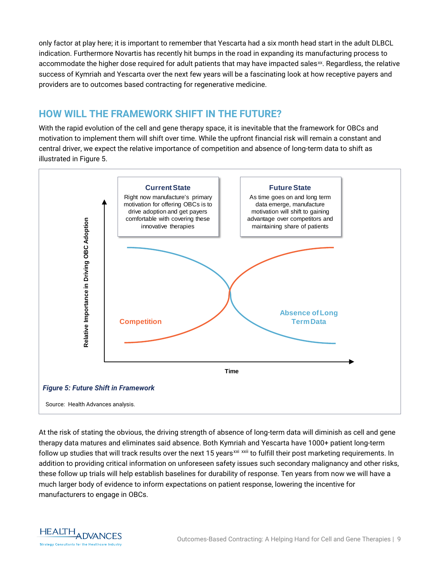only factor at play here; it is important to remember that Yescarta had a six month head start in the adult DLBCL indication. Furthermore Novartis has recently hit bumps in the road in expanding its manufacturing process to accommodate the higher dose required for adult patients that may have impacted sales $\alpha$ . Regardless, the relative success of Kymriah and Yescarta over the next few years will be a fascinating look at how receptive payers and providers are to outcomes based contracting for regenerative medicine.

# **HOW WILL THE FRAMEWORK SHIFT IN THE FUTURE?**

With the rapid evolution of the cell and gene therapy space, it is inevitable that the framework for OBCs and motivation to implement them will shift over time. While the upfront financial risk will remain a constant and central driver, we expect the relative importance of competition and absence of long-term data to shift as illustrated in Figure 5.



At the risk of stating the obvious, the driving strength of absence of long-term data will diminish as cell and gene therapy data matures and eliminates said absence. Both Kymriah and Yescarta have 1000+ patient long-term follow up studies that will track results over the next 15 years<sup>[xxi](#page-13-20) [xxii](#page-13-21)</sup> to fulfill their post marketing requirements. In addition to providing critical information on unforeseen safety issues such secondary malignancy and other risks, these follow up trials will help establish baselines for durability of response. Ten years from now we will have a much larger body of evidence to inform expectations on patient response, lowering the incentive for manufacturers to engage in OBCs.

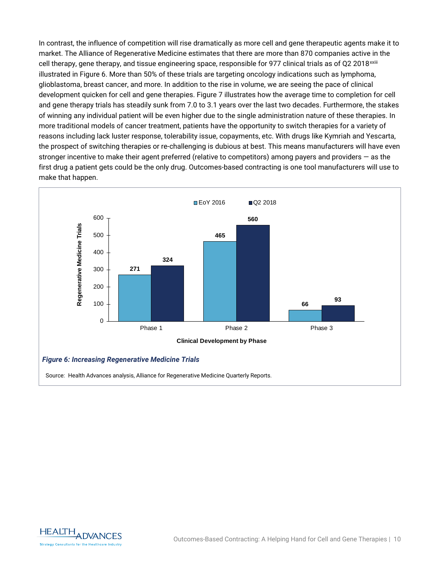In contrast, the influence of competition will rise dramatically as more cell and gene therapeutic agents make it to market. The Alliance of Regenerative Medicine estimates that there are more than 870 companies active in the cell therapy, gene therapy, and tissue engineering space, responsible for 977 clinical trials as of Q2 2018<sup>xxiii</sup> illustrated in Figure 6. More than 50% of these trials are targeting oncology indications such as lymphoma, glioblastoma, breast cancer, and more. In addition to the rise in volume, we are seeing the pace of clinical development quicken for cell and gene therapies. Figure 7 illustrates how the average time to completion for cell and gene therapy trials has steadily sunk from 7.0 to 3.1 years over the last two decades. Furthermore, the stakes of winning any individual patient will be even higher due to the single administration nature of these therapies. In more traditional models of cancer treatment, patients have the opportunity to switch therapies for a variety of reasons including lack luster response, tolerability issue, copayments, etc. With drugs like Kymriah and Yescarta, the prospect of switching therapies or re-challenging is dubious at best. This means manufacturers will have even stronger incentive to make their agent preferred (relative to competitors) among payers and providers — as the first drug a patient gets could be the only drug. Outcomes-based contracting is one tool manufacturers will use to make that happen.



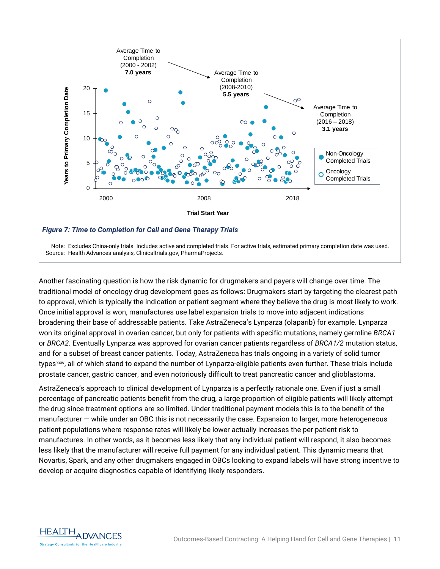

Another fascinating question is how the risk dynamic for drugmakers and payers will change over time. The traditional model of oncology drug development goes as follows: Drugmakers start by targeting the clearest path to approval, which is typically the indication or patient segment where they believe the drug is most likely to work. Once initial approval is won, manufactures use label expansion trials to move into adjacent indications broadening their base of addressable patients. Take AstraZeneca's Lynparza (olaparib) for example. Lynparza won its original approval in ovarian cancer, but only for patients with specific mutations, namely germline *BRCA1* or *BRCA2*. Eventually Lynparza was approved for ovarian cancer patients regardless of *BRCA1/2* mutation status, and for a subset of breast cancer patients. Today, AstraZeneca has trials ongoing in a variety of solid tumor types<sup>[xxiv](#page-13-22)</sup>, all of which stand to expand the number of Lynparza-eligible patients even further. These trials include prostate cancer, gastric cancer, and even notoriously difficult to treat pancreatic cancer and glioblastoma.

AstraZeneca's approach to clinical development of Lynparza is a perfectly rationale one. Even if just a small percentage of pancreatic patients benefit from the drug, a large proportion of eligible patients will likely attempt the drug since treatment options are so limited. Under traditional payment models this is to the benefit of the manufacturer — while under an OBC this is not necessarily the case. Expansion to larger, more heterogeneous patient populations where response rates will likely be lower actually increases the per patient risk to manufactures. In other words, as it becomes less likely that any individual patient will respond, it also becomes less likely that the manufacturer will receive full payment for any individual patient. This dynamic means that Novartis, Spark, and any other drugmakers engaged in OBCs looking to expand labels will have strong incentive to develop or acquire diagnostics capable of identifying likely responders.

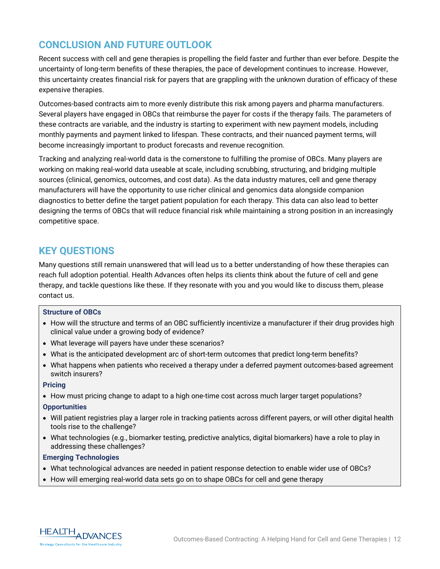# **CONCLUSION AND FUTURE OUTLOOK**

Recent success with cell and gene therapies is propelling the field faster and further than ever before. Despite the uncertainty of long-term benefits of these therapies, the pace of development continues to increase. However, this uncertainty creates financial risk for payers that are grappling with the unknown duration of efficacy of these expensive therapies.

Outcomes-based contracts aim to more evenly distribute this risk among payers and pharma manufacturers. Several players have engaged in OBCs that reimburse the payer for costs if the therapy fails. The parameters of these contracts are variable, and the industry is starting to experiment with new payment models, including monthly payments and payment linked to lifespan. These contracts, and their nuanced payment terms, will become increasingly important to product forecasts and revenue recognition.

Tracking and analyzing real-world data is the cornerstone to fulfilling the promise of OBCs. Many players are working on making real-world data useable at scale, including scrubbing, structuring, and bridging multiple sources (clinical, genomics, outcomes, and cost data). As the data industry matures, cell and gene therapy manufacturers will have the opportunity to use richer clinical and genomics data alongside companion diagnostics to better define the target patient population for each therapy. This data can also lead to better designing the terms of OBCs that will reduce financial risk while maintaining a strong position in an increasingly competitive space.

# **KEY QUESTIONS**

Many questions still remain unanswered that will lead us to a better understanding of how these therapies can reach full adoption potential. Health Advances often helps its clients think about the future of cell and gene therapy, and tackle questions like these. If they resonate with you and you would like to discuss them, please contact us.

### **Structure of OBCs**

- How will the structure and terms of an OBC sufficiently incentivize a manufacturer if their drug provides high clinical value under a growing body of evidence?
- What leverage will payers have under these scenarios?
- What is the anticipated development arc of short-term outcomes that predict long-term benefits?
- What happens when patients who received a therapy under a deferred payment outcomes-based agreement switch insurers?

#### **Pricing**

• How must pricing change to adapt to a high one-time cost across much larger target populations?

#### **Opportunities**

- Will patient registries play a larger role in tracking patients across different payers, or will other digital health tools rise to the challenge?
- What technologies (e.g., biomarker testing, predictive analytics, digital biomarkers) have a role to play in addressing these challenges?

### **Emerging Technologies**

- What technological advances are needed in patient response detection to enable wider use of OBCs?
- How will emerging real-world data sets go on to shape OBCs for cell and gene therapy

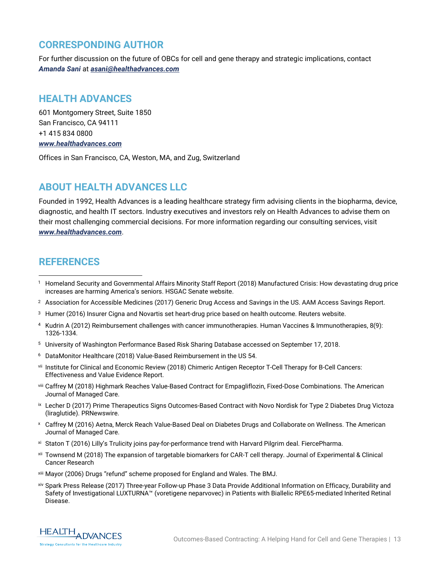### **CORRESPONDING AUTHOR**

For further discussion on the future of OBCs for cell and gene therapy and strategic implications, contact *Amanda Sani* at *[asani@healthadvances.com](mailto:asani@healthadvances.com)*

# **HEALTH ADVANCES**

601 Montgomery Street, Suite 1850 San Francisco, CA 94111 +1 415 834 0800 *[www.healthadvances.com](file://Fs01/client_development/BD_teams/BD%20BioPharma/BD%20Regen%20Med%20and%20Cell%20Therapy/OBC%20White%20Paper/www.healthadvances.com)*

Offices in San Francisco, CA, Weston, MA, and Zug, Switzerland

# **ABOUT HEALTH ADVANCES LLC**

Founded in 1992, Health Advances is a leading healthcare strategy firm advising clients in the biopharma, device, diagnostic, and health IT sectors. Industry executives and investors rely on Health Advances to advise them on their most challenging commercial decisions. For more information regarding our consulting services, visit *[www.healthadvances.com](file://Fs01/client_development/BD_teams/BD%20BioPharma/BD%20Regen%20Med%20and%20Cell%20Therapy/OBC%20White%20Paper/www.healthadvances.com)*.

# **REFERENCES**

 $\overline{a}$ 

- <sup>2</sup> Association for Accessible Medicines (2017) Generic Drug Access and Savings in the US. AAM Access Savings Report.
- <sup>3</sup> Humer (2016) Insurer Cigna and Novartis set heart-drug price based on health outcome. Reuters website.
- <sup>4</sup> Kudrin A (2012) Reimbursement challenges with cancer immunotherapies. Human Vaccines & Immunotherapies, 8(9): 1326-1334.
- <sup>5</sup> University of Washington Performance Based Risk Sharing Database accessed on September 17, 2018.
- <sup>6</sup> DataMonitor Healthcare (2018) Value-Based Reimbursement in the US 54.
- vii Institute for Clinical and Economic Review (2018) Chimeric Antigen Receptor T-Cell Therapy for B-Cell Cancers: Effectiveness and Value Evidence Report.
- viii Caffrey M (2018) Highmark Reaches Value-Based Contract for Empagliflozin, Fixed-Dose Combinations. The American Journal of Managed Care.
- ix Lecher D (2017) Prime Therapeutics Signs Outcomes-Based Contract with Novo Nordisk for Type 2 Diabetes Drug Victoza (liraglutide). PRNewswire.
- <sup>x</sup> Caffrey M (2016) Aetna, Merck Reach Value-Based Deal on Diabetes Drugs and Collaborate on Wellness. The American Journal of Managed Care.
- xi Staton T (2016) Lilly's Trulicity joins pay-for-performance trend with Harvard Pilgrim deal. FiercePharma.
- xii Townsend M (2018) The expansion of targetable biomarkers for CAR-T cell therapy. Journal of Experimental & Clinical Cancer Research
- xiii Mayor (2006) Drugs "refund" scheme proposed for England and Wales. The BMJ.
- xiv Spark Press Release (2017) Three-year Follow-up Phase 3 Data Provide Additional Information on Efficacy, Durability and Safety of Investigational LUXTURNA™ (voretigene neparvovec) in Patients with Biallelic RPE65-mediated Inherited Retinal Disease.



<sup>1</sup> Homeland Security and Governmental Affairs Minority Staff Report (2018) Manufactured Crisis: How devastating drug price increases are harming America's seniors. HSGAC Senate website.